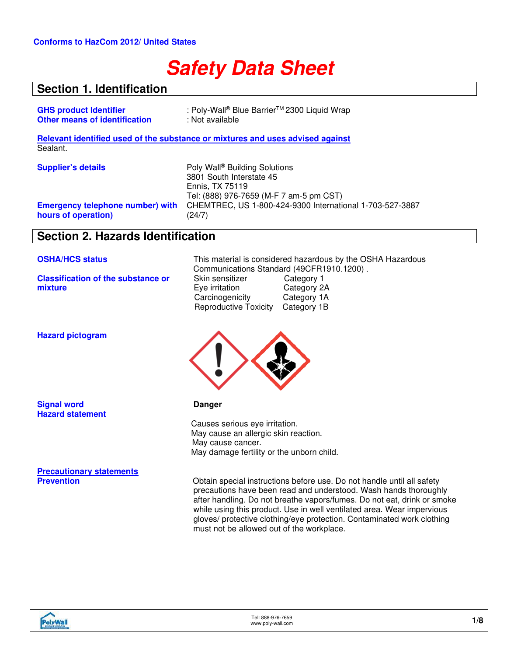# **Safety Data Sheet**

### **Section 1. Identification**

| : Poly-Wall® Blue Barrier™ 2300 Liquid Wrap                                                                   |
|---------------------------------------------------------------------------------------------------------------|
| : Not available                                                                                               |
| Relevant identified used of the substance or mixtures and uses advised against                                |
|                                                                                                               |
| Poly Wall <sup>®</sup> Building Solutions<br>3801 South Interstate 45<br>Ennis, TX 75119                      |
| Tel: (888) 976-7659 (M-F 7 am-5 pm CST)<br>CHEMTREC, US 1-800-424-9300 International 1-703-527-3887<br>(24/7) |
|                                                                                                               |

### **Section 2. Hazards Identification**

**Classification of the substance or mixture**

**OSHA/HCS status** This material is considered hazardous by the OSHA Hazardous Communications Standard (49CFR1910.1200).<br>Skin sensitizer Category 1 Skin sensitizer Category 1<br>
Eye irritation Category 2A Eye irritation Category 2A<br>Carcinogenicity Category 1A **Carcinogenicity** Reproductive Toxicity Category 1B



precautions have been read and understood. Wash hands thoroughly after handling. Do not breathe vapors/fumes. Do not eat, drink or smoke while using this product. Use in well ventilated area. Wear impervious gloves/ protective clothing/eye protection. Contaminated work clothing must not be allowed out of the workplace.

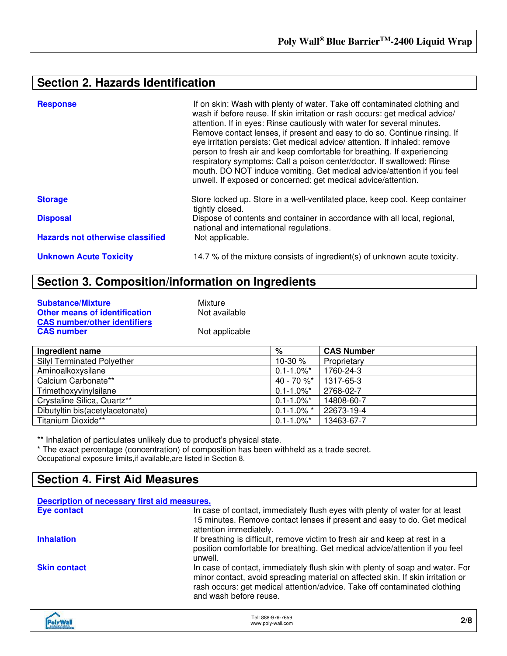## **Section 2. Hazards Identification**

| <b>Response</b>                         | If on skin: Wash with plenty of water. Take off contaminated clothing and<br>wash if before reuse. If skin irritation or rash occurs: get medical advice/<br>attention. If in eyes: Rinse cautiously with water for several minutes.<br>Remove contact lenses, if present and easy to do so. Continue rinsing. If<br>eye irritation persists: Get medical advice/ attention. If inhaled: remove<br>person to fresh air and keep comfortable for breathing. If experiencing<br>respiratory symptoms: Call a poison center/doctor. If swallowed: Rinse<br>mouth. DO NOT induce vomiting. Get medical advice/attention if you feel<br>unwell. If exposed or concerned: get medical advice/attention. |
|-----------------------------------------|---------------------------------------------------------------------------------------------------------------------------------------------------------------------------------------------------------------------------------------------------------------------------------------------------------------------------------------------------------------------------------------------------------------------------------------------------------------------------------------------------------------------------------------------------------------------------------------------------------------------------------------------------------------------------------------------------|
| <b>Storage</b>                          | Store locked up. Store in a well-ventilated place, keep cool. Keep container<br>tightly closed.                                                                                                                                                                                                                                                                                                                                                                                                                                                                                                                                                                                                   |
| <b>Disposal</b>                         | Dispose of contents and container in accordance with all local, regional,<br>national and international regulations.                                                                                                                                                                                                                                                                                                                                                                                                                                                                                                                                                                              |
| <b>Hazards not otherwise classified</b> | Not applicable.                                                                                                                                                                                                                                                                                                                                                                                                                                                                                                                                                                                                                                                                                   |
| <b>Unknown Acute Toxicity</b>           | 14.7 % of the mixture consists of ingredient(s) of unknown acute toxicity.                                                                                                                                                                                                                                                                                                                                                                                                                                                                                                                                                                                                                        |

## **Section 3. Composition/information on Ingredients**

| <b>Substance/Mixture</b>             | Mixture        |
|--------------------------------------|----------------|
| <b>Other means of identification</b> | Not available  |
| <b>CAS number/other identifiers</b>  |                |
| <b>CAS number</b>                    | Not applicable |

| Ingredient name                   | %                          | <b>CAS Number</b> |
|-----------------------------------|----------------------------|-------------------|
| <b>Silyl Terminated Polyether</b> | 10-30 $%$                  | Proprietary       |
| Aminoalkoxysilane                 | $0.1 - 1.0\%$ <sup>*</sup> | 1760-24-3         |
| Calcium Carbonate**               | 40 - 70 $\%^*$             | 1317-65-3         |
| Trimethoxyvinylsilane             | $0.1 - 1.0\%$ *            | 2768-02-7         |
| Crystaline Silica, Quartz**       | $0.1 - 1.0\%$ *            | 14808-60-7        |
| Dibutyltin bis(acetylacetonate)   | $0.1 - 1.0\%$ *            | 22673-19-4        |
| Titanium Dioxide**                | $0.1 - 1.0\%$ *            | 13463-67-7        |

\*\* Inhalation of particulates unlikely due to product's physical state.

\* The exact percentage (concentration) of composition has been withheld as a trade secret. Occupational exposure limits,if available,are listed in Section 8.

### **Section 4. First Aid Measures**

| Description of necessary first aid measures. |                                                                                                                                                                                                                                                                         |
|----------------------------------------------|-------------------------------------------------------------------------------------------------------------------------------------------------------------------------------------------------------------------------------------------------------------------------|
| <b>Eye contact</b>                           | In case of contact, immediately flush eyes with plenty of water for at least<br>15 minutes. Remove contact lenses if present and easy to do. Get medical<br>attention immediately.                                                                                      |
| <b>Inhalation</b>                            | If breathing is difficult, remove victim to fresh air and keep at rest in a<br>position comfortable for breathing. Get medical advice/attention if you feel<br>unwell.                                                                                                  |
| <b>Skin contact</b>                          | In case of contact, immediately flush skin with plenty of soap and water. For<br>minor contact, avoid spreading material on affected skin. If skin irritation or<br>rash occurs: get medical attention/advice. Take off contaminated clothing<br>and wash before reuse. |
|                                              |                                                                                                                                                                                                                                                                         |

| <b>PolyWall</b> | Fel: 888-976-7659<br>www.poly-wall.com | 2/8 |
|-----------------|----------------------------------------|-----|
|-----------------|----------------------------------------|-----|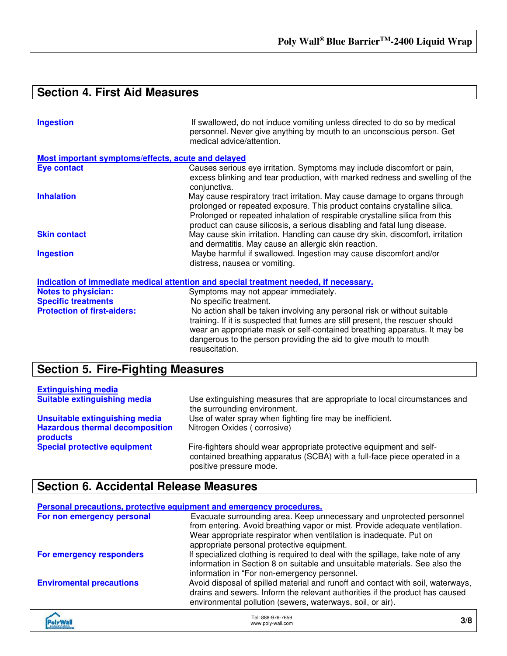## **Section 4. First Aid Measures**

| <b>Ingestion</b>                                   | If swallowed, do not induce vomiting unless directed to do so by medical<br>personnel. Never give anything by mouth to an unconscious person. Get<br>medical advice/attention.                                                                                                                                     |
|----------------------------------------------------|--------------------------------------------------------------------------------------------------------------------------------------------------------------------------------------------------------------------------------------------------------------------------------------------------------------------|
| Most important symptoms/effects, acute and delayed |                                                                                                                                                                                                                                                                                                                    |
| Eye contact                                        | Causes serious eye irritation. Symptoms may include discomfort or pain,<br>excess blinking and tear production, with marked redness and swelling of the<br>conjunctiva.                                                                                                                                            |
| <b>Inhalation</b>                                  | May cause respiratory tract irritation. May cause damage to organs through<br>prolonged or repeated exposure. This product contains crystalline silica.<br>Prolonged or repeated inhalation of respirable crystalline silica from this<br>product can cause silicosis, a serious disabling and fatal lung disease. |
| <b>Skin contact</b>                                | May cause skin irritation. Handling can cause dry skin, discomfort, irritation<br>and dermatitis. May cause an allergic skin reaction.                                                                                                                                                                             |
| <b>Ingestion</b>                                   | Maybe harmful if swallowed. Ingestion may cause discomfort and/or<br>distress, nausea or vomiting.                                                                                                                                                                                                                 |
|                                                    | Indication of immediate medical attention and special treatment needed, if necessary.                                                                                                                                                                                                                              |
| <b>Notes to physician:</b>                         | Symptoms may not appear immediately.                                                                                                                                                                                                                                                                               |
| <b>Specific treatments</b>                         | No specific treatment.                                                                                                                                                                                                                                                                                             |
| <b>Protection of first-aiders:</b>                 | No action shall be taken involving any personal risk or without suitable<br>training. If it is suspected that fumes are still present, the rescuer should<br>wear an appropriate mask or self-contained breathing apparatus. It may be<br>dangerous to the person providing the aid to give mouth to mouth         |

## **Section 5. Fire-Fighting Measures**

| <b>Extinguishing media</b>                         |                                                                                                                                                                              |
|----------------------------------------------------|------------------------------------------------------------------------------------------------------------------------------------------------------------------------------|
| <b>Suitable extinguishing media</b>                | Use extinguishing measures that are appropriate to local circumstances and<br>the surrounding environment.                                                                   |
| Unsuitable extinguishing media                     | Use of water spray when fighting fire may be inefficient.                                                                                                                    |
| <b>Hazardous thermal decomposition</b><br>products | Nitrogen Oxides (corrosive)                                                                                                                                                  |
| <b>Special protective equipment</b>                | Fire-fighters should wear appropriate protective equipment and self-<br>contained breathing apparatus (SCBA) with a full-face piece operated in a<br>positive pressure mode. |

resuscitation.

### **Section 6. Accidental Release Measures**

|                                 | Personal precautions, protective equipment and emergency procedures.                                                                                                                                                                                                     |
|---------------------------------|--------------------------------------------------------------------------------------------------------------------------------------------------------------------------------------------------------------------------------------------------------------------------|
| For non emergency personal      | Evacuate surrounding area. Keep unnecessary and unprotected personnel<br>from entering. Avoid breathing vapor or mist. Provide adequate ventilation.<br>Wear appropriate respirator when ventilation is inadequate. Put on<br>appropriate personal protective equipment. |
| For emergency responders        | If specialized clothing is required to deal with the spillage, take note of any<br>information in Section 8 on suitable and unsuitable materials. See also the<br>information in "For non-emergency personnel.                                                           |
| <b>Enviromental precautions</b> | Avoid disposal of spilled material and runoff and contact with soil, waterways,<br>drains and sewers. Inform the relevant authorities if the product has caused<br>environmental pollution (sewers, waterways, soil, or air).                                            |
|                                 |                                                                                                                                                                                                                                                                          |

| olyWa<br><b>BROWS SOUTHONS</b> | Tel: 888-976-7659<br>www.poly-wall.com | 3/8 |
|--------------------------------|----------------------------------------|-----|
|--------------------------------|----------------------------------------|-----|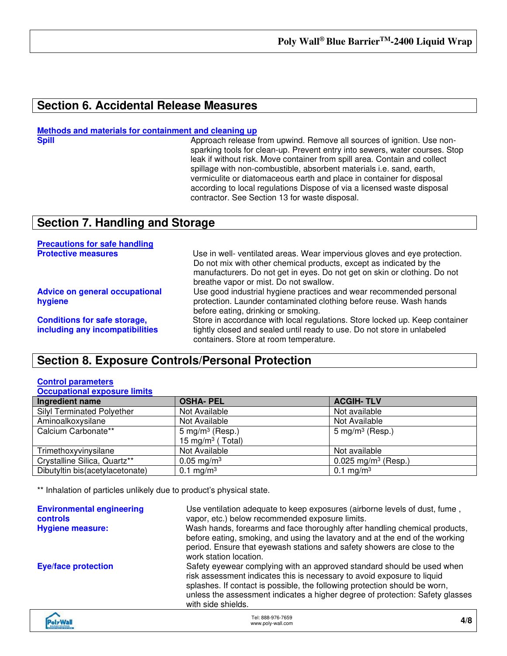### **Section 6. Accidental Release Measures**

#### **Methods and materials for containment and cleaning up**

**Spill Approach release from upwind. Remove all sources of ignition. Use non**sparking tools for clean-up. Prevent entry into sewers, water courses. Stop leak if without risk. Move container from spill area. Contain and collect spillage with non-combustible, absorbent materials i.e. sand, earth, vermiculite or diatomaceous earth and place in container for disposal according to local regulations Dispose of via a licensed waste disposal contractor. See Section 13 for waste disposal.

### **Section 7. Handling and Storage**

| <b>Precautions for safe handling</b>                                   |                                                                                                                                                                                                                                                                         |
|------------------------------------------------------------------------|-------------------------------------------------------------------------------------------------------------------------------------------------------------------------------------------------------------------------------------------------------------------------|
| <b>Protective measures</b>                                             | Use in well- ventilated areas. Wear impervious gloves and eye protection.<br>Do not mix with other chemical products, except as indicated by the<br>manufacturers. Do not get in eyes. Do not get on skin or clothing. Do not<br>breathe vapor or mist. Do not swallow. |
| <b>Advice on general occupational</b><br>hygiene                       | Use good industrial hygiene practices and wear recommended personal<br>protection. Launder contaminated clothing before reuse. Wash hands<br>before eating, drinking or smoking.                                                                                        |
| <b>Conditions for safe storage,</b><br>including any incompatibilities | Store in accordance with local regulations. Store locked up. Keep container<br>tightly closed and sealed until ready to use. Do not store in unlabeled<br>containers. Store at room temperature.                                                                        |

### **Section 8. Exposure Controls/Personal Protection**

#### **Control parameters Occupational exposure limits**

|                              | <b>ACGIH-TLV</b>                |
|------------------------------|---------------------------------|
| Not Available                | Not available                   |
| Not Available                | Not Available                   |
| $5 \text{ mg/m}^3$ (Resp.)   | 5 mg/m <sup>3</sup> (Resp.)     |
| 15 mg/m <sup>3</sup> (Total) |                                 |
| Not Available                | Not available                   |
| $0.05 \,\mathrm{mg/m^3}$     | 0.025 mg/m <sup>3</sup> (Resp.) |
| 0.1 mg/m <sup>3</sup>        | 0.1 mg/m <sup>3</sup>           |
|                              | <b>OSHA-PEL</b>                 |

\*\* Inhalation of particles unlikely due to product's physical state.

| <b>Environmental engineering</b><br><b>controls</b><br><b>Hygiene measure:</b> | Use ventilation adequate to keep exposures (airborne levels of dust, fume,<br>vapor, etc.) below recommended exposure limits.<br>Wash hands, forearms and face thoroughly after handling chemical products,<br>before eating, smoking, and using the lavatory and at the end of the working<br>period. Ensure that eyewash stations and safety showers are close to the<br>work station location. |
|--------------------------------------------------------------------------------|---------------------------------------------------------------------------------------------------------------------------------------------------------------------------------------------------------------------------------------------------------------------------------------------------------------------------------------------------------------------------------------------------|
| <b>Eye/face protection</b>                                                     | Safety eyewear complying with an approved standard should be used when<br>risk assessment indicates this is necessary to avoid exposure to liquid<br>splashes. If contact is possible, the following protection should be worn,<br>unless the assessment indicates a higher degree of protection: Safety glasses<br>with side shields.                                                            |
|                                                                                |                                                                                                                                                                                                                                                                                                                                                                                                   |

| <b>voly Wall</b><br><b>BIROING SOLUTIONS</b><br><b>IST AND AIR STOP AND</b> | Tel: 888-976-7659<br>www.poly-wall.com | 4/8 |
|-----------------------------------------------------------------------------|----------------------------------------|-----|
|-----------------------------------------------------------------------------|----------------------------------------|-----|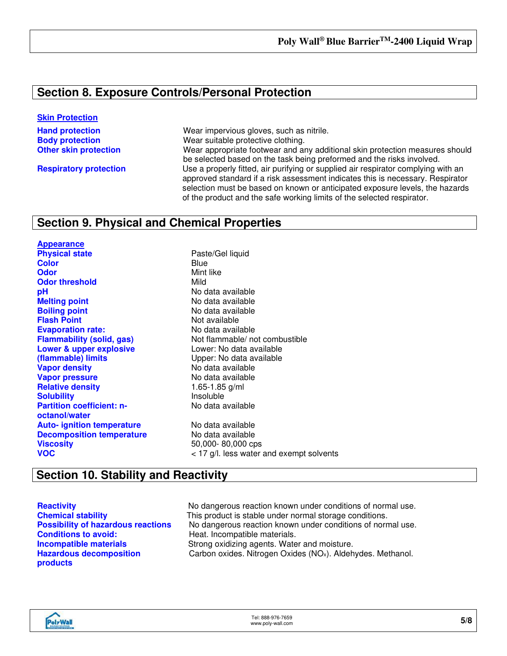### **Section 8. Exposure Controls/Personal Protection**

#### **Skin Protection**

**Hand protection Wear impervious gloves, such as nitrile. Body protection** Wear suitable protective clothing. **Other skin protection** Wear appropriate footwear and any additional skin protection measures should be selected based on the task being preformed and the risks involved. **Respiratory protection** Use a properly fitted, air purifying or supplied air respirator complying with an approved standard if a risk assessment indicates this is necessary. Respirator selection must be based on known or anticipated exposure levels, the hazards of the product and the safe working limits of the selected respirator.

### **Section 9. Physical and Chemical Properties**

**Appearance Physical state Physical state Paste/Gel liquid Color** Blue **Odor** Mint like **Odor threshold** Mild **pH**<br> **pH** No data available<br> **Melting point** COM No data available **Boiling point**<br> **Boiling point**<br> **Elash Point**<br> **Claudion**<br>
Not available **Evaporation rate:** No data available **Lower & upper explosive (flammable) limits Vapor density** No data available **Vapor pressure**<br> **Relative density**<br> **Relative density**<br> **Relative density**<br> **Relative density**<br> **Relative density Relative density Solubility Insoluble Partition coefficient: noctanol/water Auto- ignition temperature** No data available **Decomposition temperature** No data available **Viscosity** 50,000- 80,000 cps **VOC** VOC **VOC** And the same solvents water and exempt solvents

**Melting point** No data available **Not available Flammability (solid, gas)** Not flammable/ not combustible Lower: No data available Upper: No data available No data available

### **Section 10. Stability and Reactivity**

**Conditions to avoid:** Heat. Incompatible materials. **Hazardous decomposition products**

**Reactivity Reactivity No dangerous reaction known under conditions of normal use. Chemical stability** This product is stable under normal storage conditions. **Possibility of hazardous reactions** No dangerous reaction known under conditions of normal use. **Incompatible materials Strong oxidizing agents. Water and moisture.** Carbon oxides. Nitrogen Oxides (NOx). Aldehydes. Methanol.

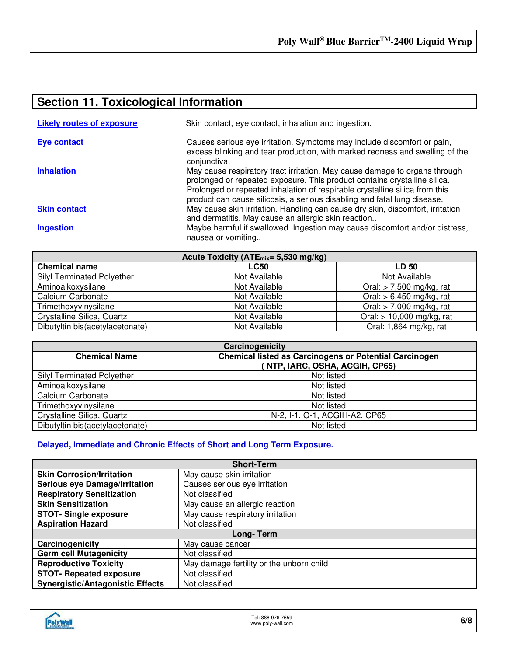### **Section 11. Toxicological Information**

| <b>Likely routes of exposure</b> | Skin contact, eye contact, inhalation and ingestion.                                                                                                                                                                                                                                                               |
|----------------------------------|--------------------------------------------------------------------------------------------------------------------------------------------------------------------------------------------------------------------------------------------------------------------------------------------------------------------|
| <b>Eye contact</b>               | Causes serious eye irritation. Symptoms may include discomfort or pain,<br>excess blinking and tear production, with marked redness and swelling of the<br>conjunctiva.                                                                                                                                            |
| <b>Inhalation</b>                | May cause respiratory tract irritation. May cause damage to organs through<br>prolonged or repeated exposure. This product contains crystalline silica.<br>Prolonged or repeated inhalation of respirable crystalline silica from this<br>product can cause silicosis, a serious disabling and fatal lung disease. |
| <b>Skin contact</b>              | May cause skin irritation. Handling can cause dry skin, discomfort, irritation<br>and dermatitis. May cause an allergic skin reaction                                                                                                                                                                              |
| <b>Ingestion</b>                 | Maybe harmful if swallowed. Ingestion may cause discomfort and/or distress,<br>nausea or vomiting                                                                                                                                                                                                                  |

| Acute Toxicity (ATE <sub>mix</sub> = 5,530 mg/kg) |               |                             |
|---------------------------------------------------|---------------|-----------------------------|
| <b>Chemical name</b>                              | <b>LC50</b>   | <b>LD 50</b>                |
| <b>Silyl Terminated Polyether</b>                 | Not Available | Not Available               |
| Aminoalkoxysilane                                 | Not Available | Oral: $> 7,500$ mg/kg, rat  |
| Calcium Carbonate                                 | Not Available | Oral: $> 6,450$ mg/kg, rat  |
| Trimethoxyvinysilane                              | Not Available | Oral: $>$ 7,000 mg/kg, rat  |
| Crystalline Silica, Quartz                        | Not Available | Oral: $> 10,000$ mg/kg, rat |
| Dibutyltin bis(acetylacetonate)                   | Not Available | Oral: 1,864 mg/kg, rat      |

| Carcinogenicity                   |                                                                                                 |  |
|-----------------------------------|-------------------------------------------------------------------------------------------------|--|
| <b>Chemical Name</b>              | <b>Chemical listed as Carcinogens or Potential Carcinogen</b><br>(NTP, IARC, OSHA, ACGIH, CP65) |  |
| <b>Silyl Terminated Polyether</b> | Not listed                                                                                      |  |
| Aminoalkoxysilane                 | Not listed                                                                                      |  |
| Calcium Carbonate                 | Not listed                                                                                      |  |
| Trimethoxyvinysilane              | Not listed                                                                                      |  |
| Crystalline Silica, Quartz        | N-2, I-1, O-1, ACGIH-A2, CP65                                                                   |  |
| Dibutyltin bis(acetylacetonate)   | Not listed                                                                                      |  |

### **Delayed, Immediate and Chronic Effects of Short and Long Term Exposure.**

| <b>Short-Term</b>                       |                                          |  |
|-----------------------------------------|------------------------------------------|--|
| <b>Skin Corrosion/Irritation</b>        | May cause skin irritation                |  |
| <b>Serious eye Damage/Irritation</b>    | Causes serious eye irritation            |  |
| <b>Respiratory Sensitization</b>        | Not classified                           |  |
| <b>Skin Sensitization</b>               | May cause an allergic reaction           |  |
| <b>STOT- Single exposure</b>            | May cause respiratory irritation         |  |
| <b>Aspiration Hazard</b>                | Not classified                           |  |
| Long-Term                               |                                          |  |
| Carcinogenicity                         | May cause cancer                         |  |
| <b>Germ cell Mutagenicity</b>           | Not classified                           |  |
| <b>Reproductive Toxicity</b>            | May damage fertility or the unborn child |  |
| <b>STOT- Repeated exposure</b>          | Not classified                           |  |
| <b>Synergistic/Antagonistic Effects</b> | Not classified                           |  |

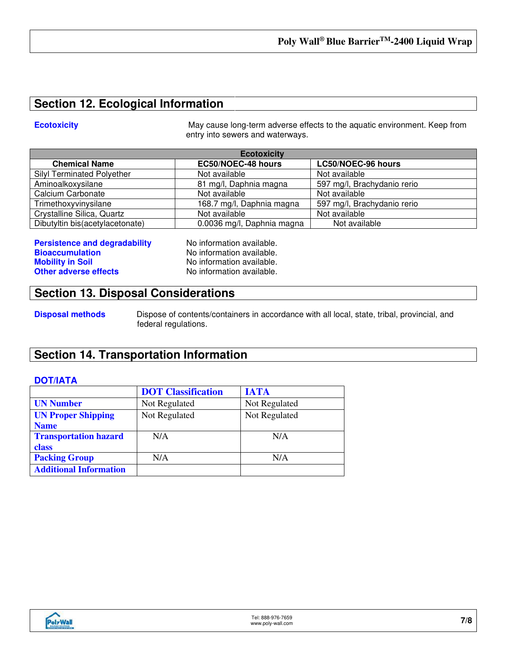### **Section 12. Ecological Information**

**Ecotoxicity May cause long-term adverse effects to the aquatic environment. Keep from** entry into sewers and waterways.

| <b>Ecotoxicity</b>                |                            |                             |
|-----------------------------------|----------------------------|-----------------------------|
| <b>Chemical Name</b>              | EC50/NOEC-48 hours         | LC50/NOEC-96 hours          |
| <b>Silyl Terminated Polyether</b> | Not available              | Not available               |
| Aminoalkoxysilane                 | 81 mg/l, Daphnia magna     | 597 mg/l, Brachydanio rerio |
| Calcium Carbonate                 | Not available              | Not available               |
| Trimethoxyvinysilane              | 168.7 mg/l, Daphnia magna  | 597 mg/l, Brachydanio rerio |
| Crystalline Silica, Quartz        | Not available              | Not available               |
| Dibutyltin bis(acetylacetonate)   | 0.0036 mg/l, Daphnia magna | Not available               |

**Persistence and degradability No information available.**<br>**Rioaccumulation No information available. Mobility in Soil Mobility in Soil No information available. Other adverse effects** No information available.

**No information available.** 

### **Section 13. Disposal Considerations**

**Disposal methods** Dispose of contents/containers in accordance with all local, state, tribal, provincial, and federal regulations.

### **Section 14. Transportation Information**

### **DOT/IATA**

|                               | <b>DOT Classification</b> | <b>IATA</b>   |
|-------------------------------|---------------------------|---------------|
| <b>UN Number</b>              | Not Regulated             | Not Regulated |
| <b>UN Proper Shipping</b>     | Not Regulated             | Not Regulated |
| <b>Name</b>                   |                           |               |
| <b>Transportation hazard</b>  | N/A                       | N/A           |
| class                         |                           |               |
| <b>Packing Group</b>          | N/A                       | N/A           |
| <b>Additional Information</b> |                           |               |